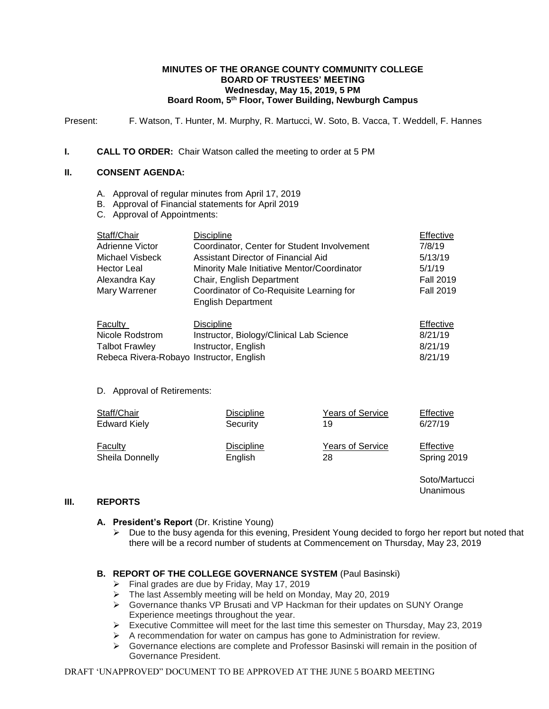#### **MINUTES OF THE ORANGE COUNTY COMMUNITY COLLEGE BOARD OF TRUSTEES' MEETING Wednesday, May 15, 2019, 5 PM Board Room, 5th Floor, Tower Building, Newburgh Campus**

Present: F. Watson, T. Hunter, M. Murphy, R. Martucci, W. Soto, B. Vacca, T. Weddell, F. Hannes

## **I. CALL TO ORDER:** Chair Watson called the meeting to order at 5 PM

# **II. CONSENT AGENDA:**

- A. Approval of regular minutes from April 17, 2019
- B. Approval of Financial statements for April 2019
- C. Approval of Appointments:

| Staff/Chair                              | <b>Discipline</b>                                                     | Effective        |
|------------------------------------------|-----------------------------------------------------------------------|------------------|
| Adrienne Victor                          | Coordinator, Center for Student Involvement                           | 7/8/19           |
| Michael Visbeck                          | Assistant Director of Financial Aid                                   | 5/13/19          |
| <b>Hector Leal</b>                       | Minority Male Initiative Mentor/Coordinator                           | 5/1/19           |
| Alexandra Kay                            | Chair, English Department                                             | <b>Fall 2019</b> |
| Mary Warrener                            | Coordinator of Co-Requisite Learning for<br><b>English Department</b> | <b>Fall 2019</b> |
| <b>Faculty</b>                           | <b>Discipline</b>                                                     | Effective        |
| Nicole Rodstrom                          | Instructor, Biology/Clinical Lab Science                              | 8/21/19          |
| <b>Talbot Frawley</b>                    | Instructor, English                                                   | 8/21/19          |
| Rebeca Rivera-Robayo Instructor, English |                                                                       | 8/21/19          |

### D. Approval of Retirements:

| Staff/Chair            | <b>Discipline</b> | <b>Years of Service</b> | Effective   |
|------------------------|-------------------|-------------------------|-------------|
| <b>Edward Kiely</b>    | Security          | 19                      | 6/27/19     |
| Faculty                | <b>Discipline</b> | <b>Years of Service</b> | Effective   |
| <b>Sheila Donnelly</b> | English           | 28                      | Spring 2019 |

## **III. REPORTS**

- **A. President's Report** (Dr. Kristine Young)
	- $\triangleright$  Due to the busy agenda for this evening, President Young decided to forgo her report but noted that there will be a record number of students at Commencement on Thursday, May 23, 2019

Soto/Martucci Unanimous

# **B. REPORT OF THE COLLEGE GOVERNANCE SYSTEM** (Paul Basinski)

- $\triangleright$  Final grades are due by Friday, May 17, 2019
- The last Assembly meeting will be held on Monday, May 20, 2019
- Governance thanks VP Brusati and VP Hackman for their updates on SUNY Orange Experience meetings throughout the year.
- Executive Committee will meet for the last time this semester on Thursday, May 23, 2019
- $\triangleright$  A recommendation for water on campus has gone to Administration for review.
- $\triangleright$  Governance elections are complete and Professor Basinski will remain in the position of Governance President.

### DRAFT 'UNAPPROVED" DOCUMENT TO BE APPROVED AT THE JUNE 5 BOARD MEETING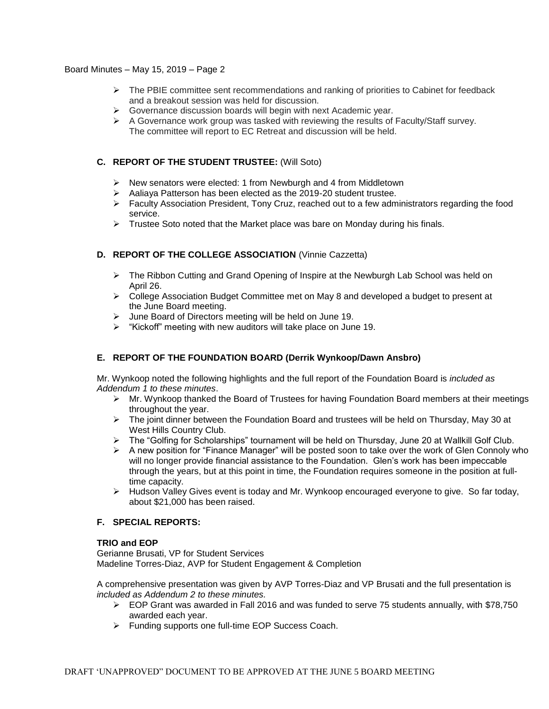- $\triangleright$  The PBIE committee sent recommendations and ranking of priorities to Cabinet for feedback and a breakout session was held for discussion.
- $\triangleright$  Governance discussion boards will begin with next Academic year.
- $\triangleright$  A Governance work group was tasked with reviewing the results of Faculty/Staff survey. The committee will report to EC Retreat and discussion will be held.

# **C. REPORT OF THE STUDENT TRUSTEE:** (Will Soto)

- $\triangleright$  New senators were elected: 1 from Newburgh and 4 from Middletown
- $\triangleright$  Aaliaya Patterson has been elected as the 2019-20 student trustee.
- $\triangleright$  Faculty Association President, Tony Cruz, reached out to a few administrators regarding the food service.
- $\triangleright$  Trustee Soto noted that the Market place was bare on Monday during his finals.

## **D. REPORT OF THE COLLEGE ASSOCIATION** (Vinnie Cazzetta)

- $\triangleright$  The Ribbon Cutting and Grand Opening of Inspire at the Newburgh Lab School was held on April 26.
- $\triangleright$  College Association Budget Committee met on May 8 and developed a budget to present at the June Board meeting.
- June Board of Directors meeting will be held on June 19.
- $\triangleright$  "Kickoff" meeting with new auditors will take place on June 19.

# **E. REPORT OF THE FOUNDATION BOARD (Derrik Wynkoop/Dawn Ansbro)**

Mr. Wynkoop noted the following highlights and the full report of the Foundation Board is *included as Addendum 1 to these minutes*.

- $\triangleright$  Mr. Wynkoop thanked the Board of Trustees for having Foundation Board members at their meetings throughout the year.
- > The joint dinner between the Foundation Board and trustees will be held on Thursday, May 30 at West Hills Country Club.
- > The "Golfing for Scholarships" tournament will be held on Thursday, June 20 at Wallkill Golf Club.
- $\triangleright$  A new position for "Finance Manager" will be posted soon to take over the work of Glen Connoly who will no longer provide financial assistance to the Foundation. Glen's work has been impeccable through the years, but at this point in time, the Foundation requires someone in the position at fulltime capacity.
- $\triangleright$  Hudson Valley Gives event is today and Mr. Wynkoop encouraged everyone to give. So far today, about \$21,000 has been raised.

### **F. SPECIAL REPORTS:**

### **TRIO and EOP**

Gerianne Brusati, VP for Student Services Madeline Torres-Diaz, AVP for Student Engagement & Completion

A comprehensive presentation was given by AVP Torres-Diaz and VP Brusati and the full presentation is *included as Addendum 2 to these minutes.*

- $\triangleright$  EOP Grant was awarded in Fall 2016 and was funded to serve 75 students annually, with \$78,750 awarded each year.
- > Funding supports one full-time EOP Success Coach.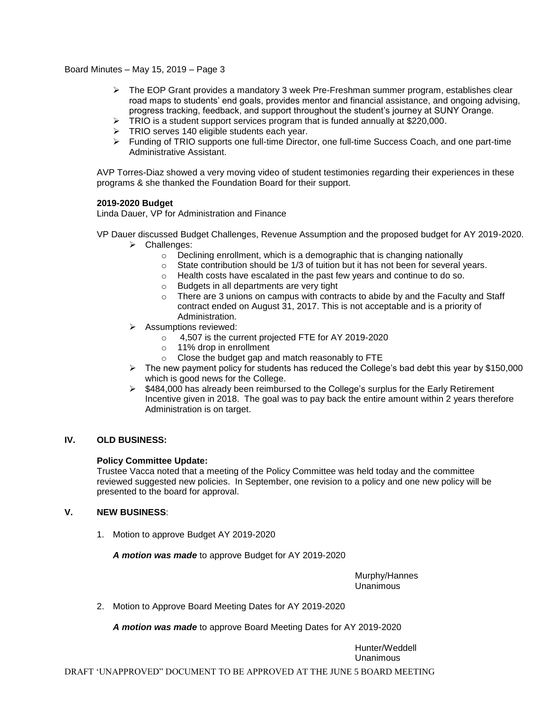- $\triangleright$  The EOP Grant provides a mandatory 3 week Pre-Freshman summer program, establishes clear road maps to students' end goals, provides mentor and financial assistance, and ongoing advising, progress tracking, feedback, and support throughout the student's journey at SUNY Orange.
- $\triangleright$  TRIO is a student support services program that is funded annually at \$220,000.
- > TRIO serves 140 eligible students each year.
- > Funding of TRIO supports one full-time Director, one full-time Success Coach, and one part-time Administrative Assistant.

AVP Torres-Diaz showed a very moving video of student testimonies regarding their experiences in these programs & she thanked the Foundation Board for their support.

### **2019-2020 Budget**

Linda Dauer, VP for Administration and Finance

- VP Dauer discussed Budget Challenges, Revenue Assumption and the proposed budget for AY 2019-2020. > Challenges:
	- o Declining enrollment, which is a demographic that is changing nationally
	- o State contribution should be 1/3 of tuition but it has not been for several years.
	- o Health costs have escalated in the past few years and continue to do so.
	- o Budgets in all departments are very tight
	- $\circ$  There are 3 unions on campus with contracts to abide by and the Faculty and Staff contract ended on August 31, 2017. This is not acceptable and is a priority of Administration.
	- Assumptions reviewed:
		- o 4,507 is the current projected FTE for AY 2019-2020
		- o 11% drop in enrollment
		- o Close the budget gap and match reasonably to FTE
	- $\triangleright$  The new payment policy for students has reduced the College's bad debt this year by \$150,000 which is good news for the College.
	- $\triangleright$  \$484,000 has already been reimbursed to the College's surplus for the Early Retirement Incentive given in 2018. The goal was to pay back the entire amount within 2 years therefore Administration is on target.

## **IV. OLD BUSINESS:**

### **Policy Committee Update:**

Trustee Vacca noted that a meeting of the Policy Committee was held today and the committee reviewed suggested new policies. In September, one revision to a policy and one new policy will be presented to the board for approval.

# **V. NEW BUSINESS**:

1. Motion to approve Budget AY 2019-2020

*A motion was made* to approve Budget for AY 2019-2020

Murphy/Hannes Unanimous

2. Motion to Approve Board Meeting Dates for AY 2019-2020

*A motion was made* to approve Board Meeting Dates for AY 2019-2020

Hunter/Weddell Unanimous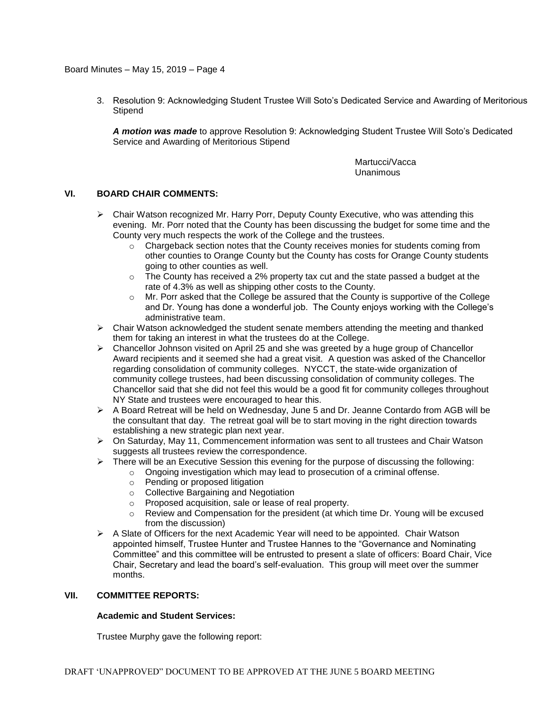3. Resolution 9: Acknowledging Student Trustee Will Soto's Dedicated Service and Awarding of Meritorious **Stipend** 

*A motion was made* to approve Resolution 9: Acknowledging Student Trustee Will Soto's Dedicated Service and Awarding of Meritorious Stipend

> Martucci/Vacca Unanimous

### **VI. BOARD CHAIR COMMENTS:**

- $\triangleright$  Chair Watson recognized Mr. Harry Porr, Deputy County Executive, who was attending this evening. Mr. Porr noted that the County has been discussing the budget for some time and the County very much respects the work of the College and the trustees.
	- $\circ$  Chargeback section notes that the County receives monies for students coming from other counties to Orange County but the County has costs for Orange County students going to other counties as well.
	- $\circ$  The County has received a 2% property tax cut and the state passed a budget at the rate of 4.3% as well as shipping other costs to the County.
	- o Mr. Porr asked that the College be assured that the County is supportive of the College and Dr. Young has done a wonderful job. The County enjoys working with the College's administrative team.
- $\triangleright$  Chair Watson acknowledged the student senate members attending the meeting and thanked them for taking an interest in what the trustees do at the College.
- $\triangleright$  Chancellor Johnson visited on April 25 and she was greeted by a huge group of Chancellor Award recipients and it seemed she had a great visit. A question was asked of the Chancellor regarding consolidation of community colleges. NYCCT, the state-wide organization of community college trustees, had been discussing consolidation of community colleges. The Chancellor said that she did not feel this would be a good fit for community colleges throughout NY State and trustees were encouraged to hear this.
- A Board Retreat will be held on Wednesday, June 5 and Dr. Jeanne Contardo from AGB will be the consultant that day. The retreat goal will be to start moving in the right direction towards establishing a new strategic plan next year.
- $\triangleright$  On Saturday, May 11, Commencement information was sent to all trustees and Chair Watson suggests all trustees review the correspondence.
- $\triangleright$  There will be an Executive Session this evening for the purpose of discussing the following:
	- $\circ$  Ongoing investigation which may lead to prosecution of a criminal offense.
	- o Pending or proposed litigation
	- o Collective Bargaining and Negotiation
	- o Proposed acquisition, sale or lease of real property.
	- $\circ$  Review and Compensation for the president (at which time Dr. Young will be excused from the discussion)
- $\triangleright$  A Slate of Officers for the next Academic Year will need to be appointed. Chair Watson appointed himself, Trustee Hunter and Trustee Hannes to the "Governance and Nominating Committee" and this committee will be entrusted to present a slate of officers: Board Chair, Vice Chair, Secretary and lead the board's self-evaluation. This group will meet over the summer months.

### **VII. COMMITTEE REPORTS:**

### **Academic and Student Services:**

Trustee Murphy gave the following report: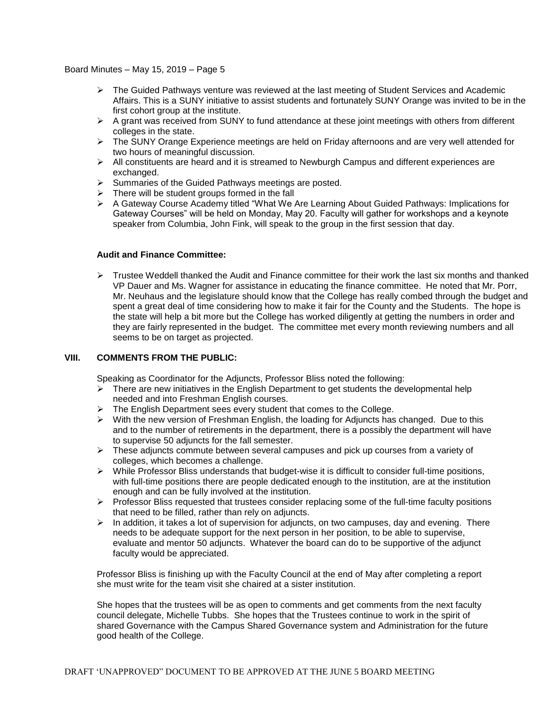- $\triangleright$  The Guided Pathways venture was reviewed at the last meeting of Student Services and Academic Affairs. This is a SUNY initiative to assist students and fortunately SUNY Orange was invited to be in the first cohort group at the institute.
- $\triangleright$  A grant was received from SUNY to fund attendance at these joint meetings with others from different colleges in the state.
- > The SUNY Orange Experience meetings are held on Friday afternoons and are very well attended for two hours of meaningful discussion.
- $\triangleright$  All constituents are heard and it is streamed to Newburgh Campus and different experiences are exchanged.
- $\triangleright$  Summaries of the Guided Pathways meetings are posted.
- $\triangleright$  There will be student groups formed in the fall
- > A Gateway Course Academy titled "What We Are Learning About Guided Pathways: Implications for Gateway Courses" will be held on Monday, May 20. Faculty will gather for workshops and a keynote speaker from Columbia, John Fink, will speak to the group in the first session that day.

#### **Audit and Finance Committee:**

 $\triangleright$  Trustee Weddell thanked the Audit and Finance committee for their work the last six months and thanked VP Dauer and Ms. Wagner for assistance in educating the finance committee. He noted that Mr. Porr, Mr. Neuhaus and the legislature should know that the College has really combed through the budget and spent a great deal of time considering how to make it fair for the County and the Students. The hope is the state will help a bit more but the College has worked diligently at getting the numbers in order and they are fairly represented in the budget. The committee met every month reviewing numbers and all seems to be on target as projected.

#### **VIII. COMMENTS FROM THE PUBLIC:**

Speaking as Coordinator for the Adjuncts, Professor Bliss noted the following:

- $\triangleright$  There are new initiatives in the English Department to get students the developmental help needed and into Freshman English courses.
- $\triangleright$  The English Department sees every student that comes to the College.
- With the new version of Freshman English, the loading for Adjuncts has changed. Due to this and to the number of retirements in the department, there is a possibly the department will have to supervise 50 adjuncts for the fall semester.
- $\triangleright$  These adjuncts commute between several campuses and pick up courses from a variety of colleges, which becomes a challenge.
- $\triangleright$  While Professor Bliss understands that budget-wise it is difficult to consider full-time positions, with full-time positions there are people dedicated enough to the institution, are at the institution enough and can be fully involved at the institution.
- $\triangleright$  Professor Bliss requested that trustees consider replacing some of the full-time faculty positions that need to be filled, rather than rely on adjuncts.
- $\triangleright$  In addition, it takes a lot of supervision for adjuncts, on two campuses, day and evening. There needs to be adequate support for the next person in her position, to be able to supervise, evaluate and mentor 50 adjuncts. Whatever the board can do to be supportive of the adjunct faculty would be appreciated.

Professor Bliss is finishing up with the Faculty Council at the end of May after completing a report she must write for the team visit she chaired at a sister institution.

She hopes that the trustees will be as open to comments and get comments from the next faculty council delegate, Michelle Tubbs. She hopes that the Trustees continue to work in the spirit of shared Governance with the Campus Shared Governance system and Administration for the future good health of the College.